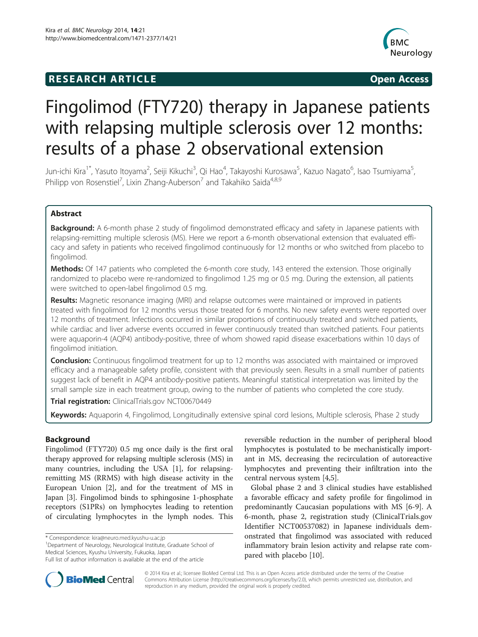# **RESEARCH ARTICLE Example 2014 CONSIDERING CONSIDERING CONSIDERING CONSIDERING CONSIDERING CONSIDERING CONSIDERING CONSIDERING CONSIDERING CONSIDERING CONSIDERING CONSIDERING CONSIDERING CONSIDERING CONSIDERING CONSIDE**



# Fingolimod (FTY720) therapy in Japanese patients with relapsing multiple sclerosis over 12 months: results of a phase 2 observational extension

Jun-ichi Kira<sup>1\*</sup>, Yasuto Itoyama<sup>2</sup>, Seiji Kikuchi<sup>3</sup>, Qi Hao<sup>4</sup>, Takayoshi Kurosawa<sup>5</sup>, Kazuo Nagato<sup>6</sup>, Isao Tsumiyama<sup>5</sup> , Philipp von Rosenstiel<sup>7</sup>, Lixin Zhang-Auberson<sup>7</sup> and Takahiko Saida<sup>4,8,9</sup>

# Abstract

Background: A 6-month phase 2 study of fingolimod demonstrated efficacy and safety in Japanese patients with relapsing-remitting multiple sclerosis (MS). Here we report a 6-month observational extension that evaluated efficacy and safety in patients who received fingolimod continuously for 12 months or who switched from placebo to fingolimod.

Methods: Of 147 patients who completed the 6-month core study, 143 entered the extension. Those originally randomized to placebo were re-randomized to fingolimod 1.25 mg or 0.5 mg. During the extension, all patients were switched to open-label fingolimod 0.5 mg.

Results: Magnetic resonance imaging (MRI) and relapse outcomes were maintained or improved in patients treated with fingolimod for 12 months versus those treated for 6 months. No new safety events were reported over 12 months of treatment. Infections occurred in similar proportions of continuously treated and switched patients, while cardiac and liver adverse events occurred in fewer continuously treated than switched patients. Four patients were aquaporin-4 (AQP4) antibody-positive, three of whom showed rapid disease exacerbations within 10 days of fingolimod initiation.

**Conclusion:** Continuous fingolimod treatment for up to 12 months was associated with maintained or improved efficacy and a manageable safety profile, consistent with that previously seen. Results in a small number of patients suggest lack of benefit in AQP4 antibody-positive patients. Meaningful statistical interpretation was limited by the small sample size in each treatment group, owing to the number of patients who completed the core study.

Trial registration: ClinicalTrials.gov [NCT00670449](http://clinicaltrials.gov/ct2/show/NCT00670449?term=NCT00670449&rank=1)

Keywords: Aquaporin 4, Fingolimod, Longitudinally extensive spinal cord lesions, Multiple sclerosis, Phase 2 study

# Background

Fingolimod (FTY720) 0.5 mg once daily is the first oral therapy approved for relapsing multiple sclerosis (MS) in many countries, including the USA [\[1](#page-9-0)], for relapsingremitting MS (RRMS) with high disease activity in the European Union [[2\]](#page-10-0), and for the treatment of MS in Japan [[3\]](#page-10-0). Fingolimod binds to sphingosine 1-phosphate receptors (S1PRs) on lymphocytes leading to retention of circulating lymphocytes in the lymph nodes. This

\* Correspondence: [kira@neuro.med.kyushu-u.ac.jp](mailto:kira@neuro.med.kyushu-u.ac.jp) <sup>1</sup>

<sup>1</sup>Department of Neurology, Neurological Institute, Graduate School of Medical Sciences, Kyushu University, Fukuoka, Japan

reversible reduction in the number of peripheral blood lymphocytes is postulated to be mechanistically important in MS, decreasing the recirculation of autoreactive lymphocytes and preventing their infiltration into the central nervous system [[4,5\]](#page-10-0).

Global phase 2 and 3 clinical studies have established a favorable efficacy and safety profile for fingolimod in predominantly Caucasian populations with MS [[6-9](#page-10-0)]. A 6-month, phase 2, registration study (ClinicalTrials.gov Identifier NCT00537082) in Japanese individuals demonstrated that fingolimod was associated with reduced inflammatory brain lesion activity and relapse rate compared with placebo [[10](#page-10-0)].



© 2014 Kira et al.; licensee BioMed Central Ltd. This is an Open Access article distributed under the terms of the Creative Commons Attribution License [\(http://creativecommons.org/licenses/by/2.0\)](http://creativecommons.org/licenses/by/2.0), which permits unrestricted use, distribution, and reproduction in any medium, provided the original work is properly credited.

Full list of author information is available at the end of the article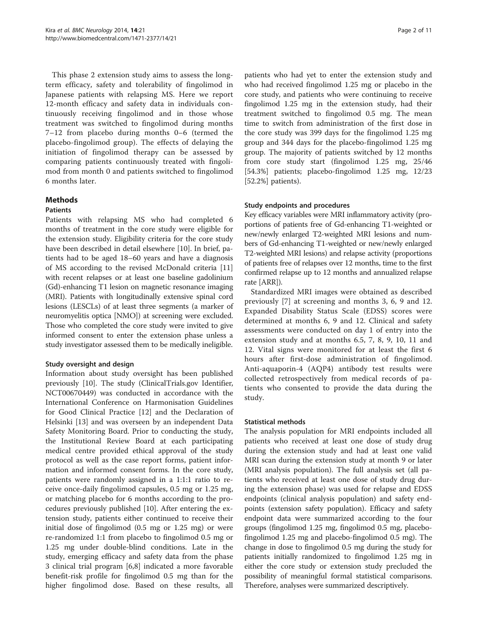This phase 2 extension study aims to assess the longterm efficacy, safety and tolerability of fingolimod in Japanese patients with relapsing MS. Here we report 12-month efficacy and safety data in individuals continuously receiving fingolimod and in those whose treatment was switched to fingolimod during months 7–12 from placebo during months 0–6 (termed the placebo-fingolimod group). The effects of delaying the initiation of fingolimod therapy can be assessed by comparing patients continuously treated with fingolimod from month 0 and patients switched to fingolimod 6 months later.

# Methods

#### Patients

Patients with relapsing MS who had completed 6 months of treatment in the core study were eligible for the extension study. Eligibility criteria for the core study have been described in detail elsewhere [\[10\]](#page-10-0). In brief, patients had to be aged 18–60 years and have a diagnosis of MS according to the revised McDonald criteria [[11](#page-10-0)] with recent relapses or at least one baseline gadolinium (Gd)-enhancing T1 lesion on magnetic resonance imaging (MRI). Patients with longitudinally extensive spinal cord lesions (LESCLs) of at least three segments (a marker of neuromyelitis optica [NMO]) at screening were excluded. Those who completed the core study were invited to give informed consent to enter the extension phase unless a study investigator assessed them to be medically ineligible.

# Study oversight and design

Information about study oversight has been published previously [[10\]](#page-10-0). The study (ClinicalTrials.gov Identifier, NCT00670449) was conducted in accordance with the International Conference on Harmonisation Guidelines for Good Clinical Practice [\[12\]](#page-10-0) and the Declaration of Helsinki [\[13](#page-10-0)] and was overseen by an independent Data Safety Monitoring Board. Prior to conducting the study, the Institutional Review Board at each participating medical centre provided ethical approval of the study protocol as well as the case report forms, patient information and informed consent forms. In the core study, patients were randomly assigned in a 1:1:1 ratio to receive once-daily fingolimod capsules, 0.5 mg or 1.25 mg, or matching placebo for 6 months according to the procedures previously published [[10\]](#page-10-0). After entering the extension study, patients either continued to receive their initial dose of fingolimod (0.5 mg or 1.25 mg) or were re-randomized 1:1 from placebo to fingolimod 0.5 mg or 1.25 mg under double-blind conditions. Late in the study, emerging efficacy and safety data from the phase 3 clinical trial program [\[6,8](#page-10-0)] indicated a more favorable benefit-risk profile for fingolimod 0.5 mg than for the higher fingolimod dose. Based on these results, all

patients who had yet to enter the extension study and who had received fingolimod 1.25 mg or placebo in the core study, and patients who were continuing to receive fingolimod 1.25 mg in the extension study, had their treatment switched to fingolimod 0.5 mg. The mean time to switch from administration of the first dose in the core study was 399 days for the fingolimod 1.25 mg group and 344 days for the placebo-fingolimod 1.25 mg group. The majority of patients switched by 12 months from core study start (fingolimod 1.25 mg, 25/46 [54.3%] patients; placebo-fingolimod 1.25 mg, 12/23 [52.2%] patients).

#### Study endpoints and procedures

Key efficacy variables were MRI inflammatory activity (proportions of patients free of Gd-enhancing T1-weighted or new/newly enlarged T2-weighted MRI lesions and numbers of Gd-enhancing T1-weighted or new/newly enlarged T2-weighted MRI lesions) and relapse activity (proportions of patients free of relapses over 12 months, time to the first confirmed relapse up to 12 months and annualized relapse rate [ARR]).

Standardized MRI images were obtained as described previously [\[7](#page-10-0)] at screening and months 3, 6, 9 and 12. Expanded Disability Status Scale (EDSS) scores were determined at months 6, 9 and 12. Clinical and safety assessments were conducted on day 1 of entry into the extension study and at months 6.5, 7, 8, 9, 10, 11 and 12. Vital signs were monitored for at least the first 6 hours after first-dose administration of fingolimod. Anti-aquaporin-4 (AQP4) antibody test results were collected retrospectively from medical records of patients who consented to provide the data during the study.

#### Statistical methods

The analysis population for MRI endpoints included all patients who received at least one dose of study drug during the extension study and had at least one valid MRI scan during the extension study at month 9 or later (MRI analysis population). The full analysis set (all patients who received at least one dose of study drug during the extension phase) was used for relapse and EDSS endpoints (clinical analysis population) and safety endpoints (extension safety population). Efficacy and safety endpoint data were summarized according to the four groups (fingolimod 1.25 mg, fingolimod 0.5 mg, placebofingolimod 1.25 mg and placebo-fingolimod 0.5 mg). The change in dose to fingolimod 0.5 mg during the study for patients initially randomized to fingolimod 1.25 mg in either the core study or extension study precluded the possibility of meaningful formal statistical comparisons. Therefore, analyses were summarized descriptively.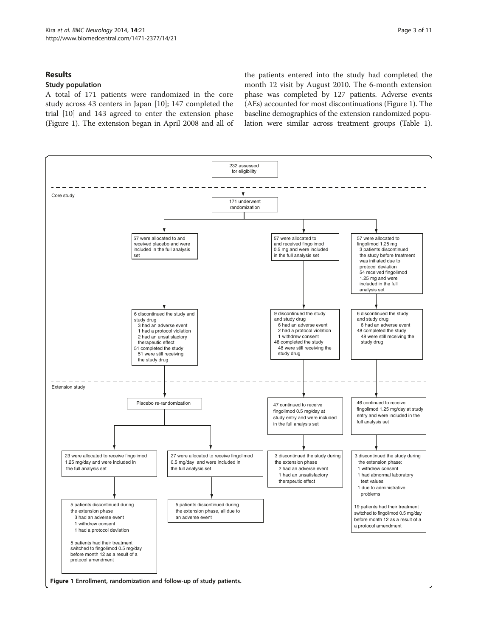# Results

## Study population

A total of 171 patients were randomized in the core study across 43 centers in Japan [[10](#page-10-0)]; 147 completed the trial [[10\]](#page-10-0) and 143 agreed to enter the extension phase (Figure 1). The extension began in April 2008 and all of

the patients entered into the study had completed the month 12 visit by August 2010. The 6-month extension phase was completed by 127 patients. Adverse events (AEs) accounted for most discontinuations (Figure 1). The baseline demographics of the extension randomized population were similar across treatment groups (Table [1](#page-3-0)).

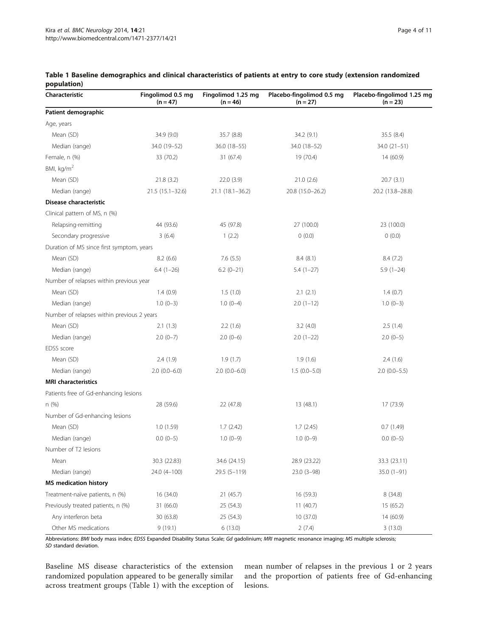| Characteristic                             | Fingolimod 0.5 mg<br>$(n = 47)$ | Fingolimod 1.25 mg<br>$(n = 46)$ | Placebo-fingolimod 0.5 mg<br>$(n = 27)$ | Placebo-fingolimod 1.25 mg<br>$(n = 23)$ |
|--------------------------------------------|---------------------------------|----------------------------------|-----------------------------------------|------------------------------------------|
| Patient demographic                        |                                 |                                  |                                         |                                          |
| Age, years                                 |                                 |                                  |                                         |                                          |
| Mean (SD)                                  | 34.9 (9.0)                      | 35.7 (8.8)                       | 34.2(9.1)                               | 35.5(8.4)                                |
| Median (range)                             | 34.0 (19-52)                    | 36.0 (18-55)                     | 34.0 (18-52)                            | $34.0(21-51)$                            |
| Female, n (%)                              | 33 (70.2)                       | 31 (67.4)                        | 19 (70.4)                               | 14 (60.9)                                |
| BMI, kg/m <sup>2</sup>                     |                                 |                                  |                                         |                                          |
| Mean (SD)                                  | 21.8(3.2)                       | 22.0 (3.9)                       | 21.0(2.6)                               | 20.7(3.1)                                |
| Median (range)                             | 21.5 (15.1-32.6)                | $21.1(18.1 - 36.2)$              | 20.8 (15.0-26.2)                        | 20.2 (13.8-28.8)                         |
| Disease characteristic                     |                                 |                                  |                                         |                                          |
| Clinical pattern of MS, n (%)              |                                 |                                  |                                         |                                          |
| Relapsing-remitting                        | 44 (93.6)                       | 45 (97.8)                        | 27 (100.0)                              | 23 (100.0)                               |
| Secondary progressive                      | 3(6.4)                          | 1(2.2)                           | 0(0.0)                                  | 0(0.0)                                   |
| Duration of MS since first symptom, years  |                                 |                                  |                                         |                                          |
| Mean (SD)                                  | 8.2(6.6)                        | 7.6(5.5)                         | 8.4(8.1)                                | 8.4(7.2)                                 |
| Median (range)                             | $6.4(1-26)$                     | $6.2(0-21)$                      | $5.4(1-27)$                             | $5.9(1-24)$                              |
| Number of relapses within previous year    |                                 |                                  |                                         |                                          |
| Mean (SD)                                  | 1.4(0.9)                        | 1.5(1.0)                         | 2.1(2.1)                                | 1.4(0.7)                                 |
| Median (range)                             | $1.0(0-3)$                      | $1.0(0-4)$                       | $2.0(1-12)$                             | $1.0(0-3)$                               |
| Number of relapses within previous 2 years |                                 |                                  |                                         |                                          |
| Mean (SD)                                  | 2.1(1.3)                        | 2.2(1.6)                         | 3.2(4.0)                                | 2.5(1.4)                                 |
| Median (range)                             | $2.0(0-7)$                      | $2.0(0-6)$                       | $2.0(1-22)$                             | $2.0(0-5)$                               |
| EDSS score                                 |                                 |                                  |                                         |                                          |
| Mean (SD)                                  | 2.4(1.9)                        | 1.9(1.7)                         | 1.9(1.6)                                | 2.4(1.6)                                 |
| Median (range)                             | $2.0(0.0-6.0)$                  | $2.0(0.0-6.0)$                   | $1.5(0.0-5.0)$                          | $2.0(0.0-5.5)$                           |
| <b>MRI</b> characteristics                 |                                 |                                  |                                         |                                          |
| Patients free of Gd-enhancing lesions      |                                 |                                  |                                         |                                          |
| n(%)                                       | 28 (59.6)                       | 22 (47.8)                        | 13 (48.1)                               | 17 (73.9)                                |
| Number of Gd-enhancing lesions             |                                 |                                  |                                         |                                          |
| Mean (SD)                                  | 1.0(1.59)                       | 1.7(2.42)                        | 1.7(2.45)                               | 0.7(1.49)                                |
| Median (range)                             | $0.0(0-5)$                      | $1.0(0-9)$                       | $1.0(0-9)$                              | $0.0(0-5)$                               |
| Number of T2 lesions                       |                                 |                                  |                                         |                                          |
| Mean                                       | 30.3 (22.83)                    | 34.6 (24.15)                     | 28.9 (23.22)                            | 33.3 (23.11)                             |
| Median (range)                             | 24.0 (4-100)                    | $29.5(5 - 119)$                  | $23.0(3-98)$                            | $35.0(1-91)$                             |
| <b>MS</b> medication history               |                                 |                                  |                                         |                                          |
| Treatment-naïve patients, n (%)            | 16 (34.0)                       | 21 (45.7)                        | 16 (59.3)                               | 8(34.8)                                  |
| Previously treated patients, n (%)         | 31 (66.0)                       | 25 (54.3)                        | 11(40.7)                                | 15 (65.2)                                |
| Any interferon beta                        | 30 (63.8)                       | 25 (54.3)                        | 10 (37.0)                               | 14 (60.9)                                |
| Other MS medications                       | 9(19.1)                         | 6(13.0)                          | 2(7.4)                                  | 3(13.0)                                  |

# <span id="page-3-0"></span>Table 1 Baseline demographics and clinical characteristics of patients at entry to core study (extension randomized population)

Abbreviations: BMI body mass index; EDSS Expanded Disability Status Scale; Gd gadolinium; MRI magnetic resonance imaging; MS multiple sclerosis; SD standard deviation.

Baseline MS disease characteristics of the extension randomized population appeared to be generally similar across treatment groups (Table 1) with the exception of mean number of relapses in the previous 1 or 2 years and the proportion of patients free of Gd-enhancing lesions.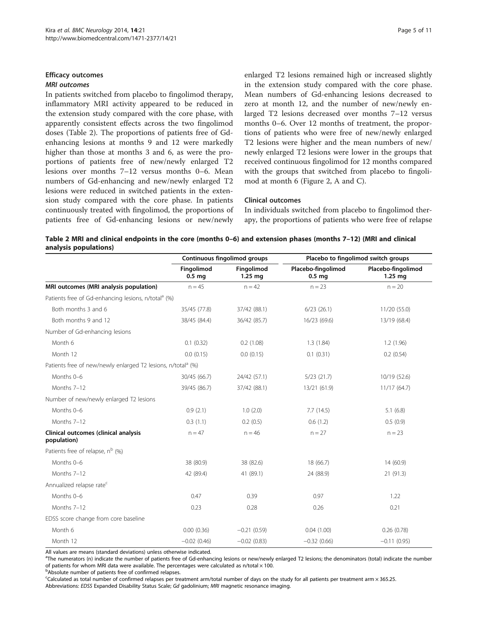# <span id="page-4-0"></span>Efficacy outcomes

# MRI outcomes

In patients switched from placebo to fingolimod therapy, inflammatory MRI activity appeared to be reduced in the extension study compared with the core phase, with apparently consistent effects across the two fingolimod doses (Table 2). The proportions of patients free of Gdenhancing lesions at months 9 and 12 were markedly higher than those at months 3 and 6, as were the proportions of patients free of new/newly enlarged T2 lesions over months 7–12 versus months 0–6. Mean numbers of Gd-enhancing and new/newly enlarged T2 lesions were reduced in switched patients in the extension study compared with the core phase. In patients continuously treated with fingolimod, the proportions of patients free of Gd-enhancing lesions or new/newly enlarged T2 lesions remained high or increased slightly in the extension study compared with the core phase. Mean numbers of Gd-enhancing lesions decreased to zero at month 12, and the number of new/newly enlarged T2 lesions decreased over months 7–12 versus months 0–6. Over 12 months of treatment, the proportions of patients who were free of new/newly enlarged T2 lesions were higher and the mean numbers of new/ newly enlarged T2 lesions were lower in the groups that received continuous fingolimod for 12 months compared with the groups that switched from placebo to fingolimod at month 6 (Figure [2](#page-5-0), A and C).

## Clinical outcomes

In individuals switched from placebo to fingolimod therapy, the proportions of patients who were free of relapse

| Table 2 MRI and clinical endpoints in the core (months 0–6) and extension phases (months 7–12) (MRI and clinical |  |
|------------------------------------------------------------------------------------------------------------------|--|
| analysis populations)                                                                                            |  |

|                                                                          | <b>Continuous fingolimod groups</b> |                         | Placebo to fingolimod switch groups     |                                 |
|--------------------------------------------------------------------------|-------------------------------------|-------------------------|-----------------------------------------|---------------------------------|
|                                                                          | Fingolimod<br>0.5 <sub>mg</sub>     | Fingolimod<br>$1.25$ mg | Placebo-fingolimod<br>0.5 <sub>mg</sub> | Placebo-fingolimod<br>$1.25$ mg |
| MRI outcomes (MRI analysis population)                                   | $n = 45$                            | $n = 42$                | $n = 23$                                | $n = 20$                        |
| Patients free of Gd-enhancing lesions, n/total <sup>a</sup> (%)          |                                     |                         |                                         |                                 |
| Both months 3 and 6                                                      | 35/45 (77.8)                        | 37/42 (88.1)            | $6/23$ (26.1)                           | 11/20 (55.0)                    |
| Both months 9 and 12                                                     | 38/45 (84.4)                        | 36/42 (85.7)            | 16/23 (69.6)                            | 13/19 (68.4)                    |
| Number of Gd-enhancing lesions                                           |                                     |                         |                                         |                                 |
| Month 6                                                                  | 0.1(0.32)                           | 0.2(1.08)               | 1.3(1.84)                               | 1.2(1.96)                       |
| Month 12                                                                 | 0.0(0.15)                           | 0.0(0.15)               | 0.1(0.31)                               | $0.2$ $(0.54)$                  |
| Patients free of new/newly enlarged T2 lesions, n/total <sup>a</sup> (%) |                                     |                         |                                         |                                 |
| Months 0-6                                                               | 30/45 (66.7)                        | 24/42 (57.1)            | $5/23$ (21.7)                           | 10/19 (52.6)                    |
| Months 7-12                                                              | 39/45 (86.7)                        | 37/42 (88.1)            | 13/21 (61.9)                            | 11/17(64.7)                     |
| Number of new/newly enlarged T2 lesions                                  |                                     |                         |                                         |                                 |
| Months 0-6                                                               | 0.9(2.1)                            | 1.0(2.0)                | 7.7(14.5)                               | 5.1(6.8)                        |
| Months 7-12                                                              | 0.3(1.1)                            | 0.2(0.5)                | 0.6(1.2)                                | 0.5(0.9)                        |
| Clinical outcomes (clinical analysis<br>population)                      | $n = 47$                            | $n = 46$                | $n = 27$                                | $n = 23$                        |
| Patients free of relapse, n <sup>b</sup> (%)                             |                                     |                         |                                         |                                 |
| Months 0-6                                                               | 38 (80.9)                           | 38 (82.6)               | 18 (66.7)                               | 14(60.9)                        |
| Months 7-12                                                              | 42 (89.4)                           | 41 (89.1)               | 24 (88.9)                               | 21 (91.3)                       |
| Annualized relapse rate <sup>c</sup>                                     |                                     |                         |                                         |                                 |
| Months 0-6                                                               | 0.47                                | 0.39                    | 0.97                                    | 1.22                            |
| Months 7-12                                                              | 0.23                                | 0.28                    | 0.26                                    | 0.21                            |
| EDSS score change from core baseline                                     |                                     |                         |                                         |                                 |
| Month 6                                                                  | 0.00(0.36)                          | $-0.21(0.59)$           | 0.04(1.00)                              | 0.26(0.78)                      |
| Month 12                                                                 | $-0.02$ (0.46)                      | $-0.02(0.83)$           | $-0.32(0.66)$                           | $-0.11(0.95)$                   |

All values are means (standard deviations) unless otherwise indicated.

<sup>a</sup>The numerators (n) indicate the number of patients free of Gd-enhancing lesions or new/newly enlarged T2 lesions; the denominators (total) indicate the number of patients for whom MRI data were available. The percentages were calculated as n/total  $\times$  100.

<sup>b</sup>Absolute number of patients free of confirmed relapses.

c Calculated as total number of confirmed relapses per treatment arm/total number of days on the study for all patients per treatment arm × 365.25.

Abbreviations: EDSS Expanded Disability Status Scale; Gd gadolinium; MRI magnetic resonance imaging.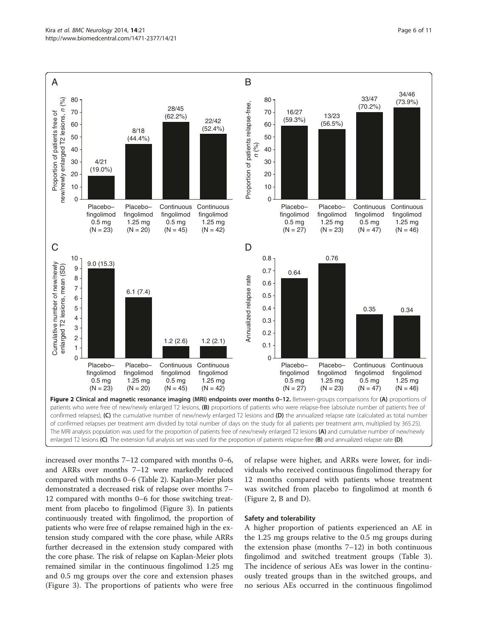<span id="page-5-0"></span>

of confirmed relapses per treatment arm divided by total number of days on the study for all patients per treatment arm, multiplied by 365.25). The MRI analysis population was used for the proportion of patients free of new/newly enlarged T2 lesions (A) and cumulative number of new/newly enlarged T2 lesions (C). The extension full analysis set was used for the proportion of patients relapse-free (B) and annualized relapse rate (D).

increased over months 7–12 compared with months 0–6, and ARRs over months 7–12 were markedly reduced compared with months 0–6 (Table [2\)](#page-4-0). Kaplan-Meier plots demonstrated a decreased risk of relapse over months 7– 12 compared with months 0–6 for those switching treatment from placebo to fingolimod (Figure [3](#page-6-0)). In patients continuously treated with fingolimod, the proportion of patients who were free of relapse remained high in the extension study compared with the core phase, while ARRs further decreased in the extension study compared with the core phase. The risk of relapse on Kaplan-Meier plots remained similar in the continuous fingolimod 1.25 mg and 0.5 mg groups over the core and extension phases (Figure [3\)](#page-6-0). The proportions of patients who were free

of relapse were higher, and ARRs were lower, for individuals who received continuous fingolimod therapy for 12 months compared with patients whose treatment was switched from placebo to fingolimod at month 6 (Figure 2, B and D).

#### Safety and tolerability

A higher proportion of patients experienced an AE in the 1.25 mg groups relative to the 0.5 mg groups during the extension phase (months 7–12) in both continuous fingolimod and switched treatment groups (Table [3](#page-7-0)). The incidence of serious AEs was lower in the continuously treated groups than in the switched groups, and no serious AEs occurred in the continuous fingolimod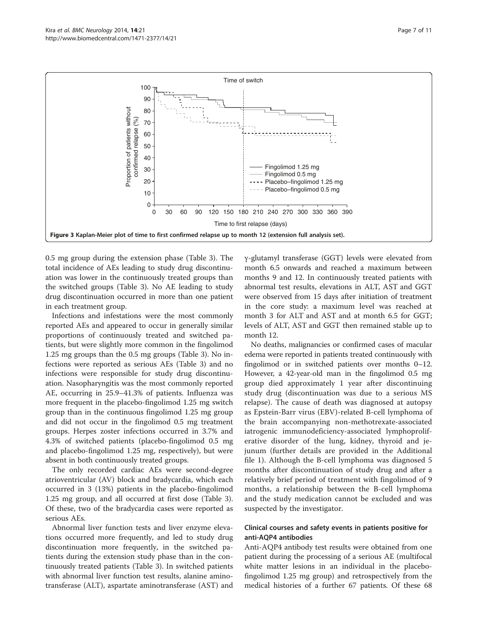<span id="page-6-0"></span>

0.5 mg group during the extension phase (Table [3\)](#page-7-0). The total incidence of AEs leading to study drug discontinuation was lower in the continuously treated groups than the switched groups (Table [3\)](#page-7-0). No AE leading to study drug discontinuation occurred in more than one patient in each treatment group.

Infections and infestations were the most commonly reported AEs and appeared to occur in generally similar proportions of continuously treated and switched patients, but were slightly more common in the fingolimod 1.25 mg groups than the 0.5 mg groups (Table [3](#page-7-0)). No infections were reported as serious AEs (Table [3\)](#page-7-0) and no infections were responsible for study drug discontinuation. Nasopharyngitis was the most commonly reported AE, occurring in 25.9–41.3% of patients. Influenza was more frequent in the placebo-fingolimod 1.25 mg switch group than in the continuous fingolimod 1.25 mg group and did not occur in the fingolimod 0.5 mg treatment groups. Herpes zoster infections occurred in 3.7% and 4.3% of switched patients (placebo-fingolimod 0.5 mg and placebo-fingolimod 1.25 mg, respectively), but were absent in both continuously treated groups.

The only recorded cardiac AEs were second-degree atrioventricular (AV) block and bradycardia, which each occurred in 3 (13%) patients in the placebo-fingolimod 1.25 mg group, and all occurred at first dose (Table [3](#page-7-0)). Of these, two of the bradycardia cases were reported as serious AEs.

Abnormal liver function tests and liver enzyme elevations occurred more frequently, and led to study drug discontinuation more frequently, in the switched patients during the extension study phase than in the continuously treated patients (Table [3\)](#page-7-0). In switched patients with abnormal liver function test results, alanine aminotransferase (ALT), aspartate aminotransferase (AST) and γ-glutamyl transferase (GGT) levels were elevated from month 6.5 onwards and reached a maximum between months 9 and 12. In continuously treated patients with abnormal test results, elevations in ALT, AST and GGT were observed from 15 days after initiation of treatment in the core study: a maximum level was reached at month 3 for ALT and AST and at month 6.5 for GGT; levels of ALT, AST and GGT then remained stable up to month 12.

No deaths, malignancies or confirmed cases of macular edema were reported in patients treated continuously with fingolimod or in switched patients over months 0–12. However, a 42-year-old man in the fingolimod 0.5 mg group died approximately 1 year after discontinuing study drug (discontinuation was due to a serious MS relapse). The cause of death was diagnosed at autopsy as Epstein-Barr virus (EBV)-related B-cell lymphoma of the brain accompanying non-methotrexate-associated iatrogenic immunodeficiency-associated lymphoproliferative disorder of the lung, kidney, thyroid and jejunum (further details are provided in the Additional file [1](#page-9-0)). Although the B-cell lymphoma was diagnosed 5 months after discontinuation of study drug and after a relatively brief period of treatment with fingolimod of 9 months, a relationship between the B-cell lymphoma and the study medication cannot be excluded and was suspected by the investigator.

# Clinical courses and safety events in patients positive for anti-AQP4 antibodies

Anti-AQP4 antibody test results were obtained from one patient during the processing of a serious AE (multifocal white matter lesions in an individual in the placebofingolimod 1.25 mg group) and retrospectively from the medical histories of a further 67 patients. Of these 68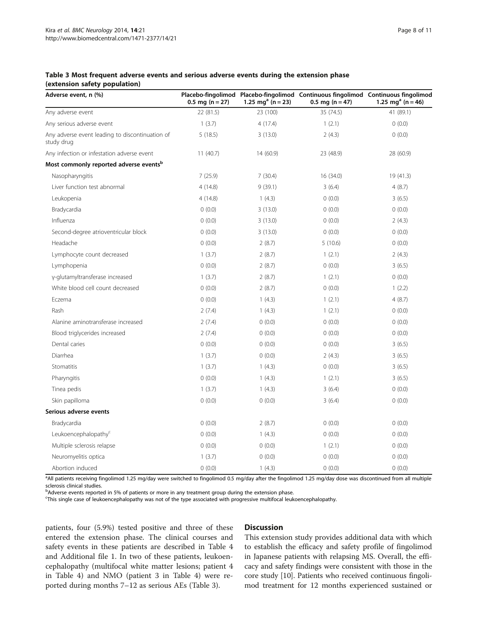#### <span id="page-7-0"></span>Table 3 Most frequent adverse events and serious adverse events during the extension phase (extension safety population)

| Adverse event, n (%)                                          | $0.5$ mg (n = 27) | 1.25 mg <sup>a</sup> (n = 23) | Placebo-fingolimod Placebo-fingolimod Continuous fingolimod Continuous fingolimod<br>$0.5$ mg (n = 47) | 1.25 mg <sup>a</sup> (n = 46) |
|---------------------------------------------------------------|-------------------|-------------------------------|--------------------------------------------------------------------------------------------------------|-------------------------------|
| Any adverse event                                             | 22 (81.5)         | 23 (100)                      | 35 (74.5)                                                                                              | 41 (89.1)                     |
| Any serious adverse event                                     | 1(3.7)            | 4(17.4)                       | 1(2.1)                                                                                                 | 0(0.0)                        |
| Any adverse event leading to discontinuation of<br>study drug | 5(18.5)           | 3(13.0)                       | 2(4.3)                                                                                                 | (0.0)                         |
| Any infection or infestation adverse event                    | 11(40.7)          | 14 (60.9)                     | 23 (48.9)                                                                                              | 28 (60.9)                     |
| Most commonly reported adverse events <sup>b</sup>            |                   |                               |                                                                                                        |                               |
| Nasopharyngitis                                               | 7(25.9)           | 7(30.4)                       | 16(34.0)                                                                                               | 19 (41.3)                     |
| Liver function test abnormal                                  | 4(14.8)           | 9(39.1)                       | 3(6.4)                                                                                                 | 4(8.7)                        |
| Leukopenia                                                    | 4(14.8)           | 1(4.3)                        | 0(0.0)                                                                                                 | 3(6.5)                        |
| Bradycardia                                                   | 0(0.0)            | 3(13.0)                       | 0(0.0)                                                                                                 | 0(0.0)                        |
| Influenza                                                     | 0(0.0)            | 3(13.0)                       | 0(0.0)                                                                                                 | 2(4.3)                        |
| Second-degree atrioventricular block                          | 0(0.0)            | 3(13.0)                       | 0(0.0)                                                                                                 | 0(0.0)                        |
| Headache                                                      | 0(0.0)            | 2(8.7)                        | 5(10.6)                                                                                                | 0(0.0)                        |
| Lymphocyte count decreased                                    | 1(3.7)            | 2(8.7)                        | 1(2.1)                                                                                                 | 2(4.3)                        |
| Lymphopenia                                                   | 0(0.0)            | 2(8.7)                        | 0(0.0)                                                                                                 | 3(6.5)                        |
| y-glutamyltransferase increased                               | 1(3.7)            | 2(8.7)                        | 1(2.1)                                                                                                 | 0(0.0)                        |
| White blood cell count decreased                              | 0(0.0)            | 2(8.7)                        | 0(0.0)                                                                                                 | 1(2.2)                        |
| Eczema                                                        | 0(0.0)            | 1(4.3)                        | 1(2.1)                                                                                                 | 4(8.7)                        |
| Rash                                                          | 2(7.4)            | 1(4.3)                        | 1(2.1)                                                                                                 | 0(0.0)                        |
| Alanine aminotransferase increased                            | 2(7.4)            | 0(0.0)                        | 0(0.0)                                                                                                 | 0(0.0)                        |
| Blood triglycerides increased                                 | 2(7.4)            | 0(0.0)                        | 0(0.0)                                                                                                 | 0(0.0)                        |
| Dental caries                                                 | 0(0.0)            | 0(0.0)                        | 0(0.0)                                                                                                 | 3(6.5)                        |
| Diarrhea                                                      | 1(3.7)            | 0(0.0)                        | 2(4.3)                                                                                                 | 3(6.5)                        |
| Stomatitis                                                    | 1(3.7)            | 1(4.3)                        | 0(0.0)                                                                                                 | 3(6.5)                        |
| Pharyngitis                                                   | 0(0.0)            | 1(4.3)                        | 1(2.1)                                                                                                 | 3(6.5)                        |
| Tinea pedis                                                   | 1(3.7)            | 1(4.3)                        | 3(6.4)                                                                                                 | 0(0.0)                        |
| Skin papilloma                                                | 0(0.0)            | 0(0.0)                        | 3(6.4)                                                                                                 | 0(0.0)                        |
| Serious adverse events                                        |                   |                               |                                                                                                        |                               |
| Bradycardia                                                   | 0(0.0)            | 2(8.7)                        | 0(0.0)                                                                                                 | 0(0.0)                        |
| Leukoencephalopathy <sup>c</sup>                              | 0(0.0)            | 1(4.3)                        | 0(0.0)                                                                                                 | 0(0.0)                        |
| Multiple sclerosis relapse                                    | 0(0.0)            | 0(0.0)                        | 1(2.1)                                                                                                 | 0(0.0)                        |
| Neuromyelitis optica                                          | 1(3.7)            | 0(0.0)                        | 0(0.0)                                                                                                 | 0(0.0)                        |
| Abortion induced                                              | 0(0.0)            | 1(4.3)                        | 0(0.0)                                                                                                 | 0(0.0)                        |

a<br>All patients receiving fingolimod 1.25 mg/day were switched to fingolimod 0.5 mg/day after the fingolimod 1.25 mg/day dose was discontinued from all multiple sclerosis clinical studies.

**bAdverse events reported in 5% of patients or more in any treatment group during the extension phase.** 

c This single case of leukoencephalopathy was not of the type associated with progressive multifocal leukoencephalopathy.

patients, four (5.9%) tested positive and three of these entered the extension phase. The clinical courses and safety events in these patients are described in Table [4](#page-8-0) and Additional file [1](#page-9-0). In two of these patients, leukoencephalopathy (multifocal white matter lesions; patient 4 in Table [4\)](#page-8-0) and NMO (patient 3 in Table [4](#page-8-0)) were reported during months 7–12 as serious AEs (Table 3).

#### **Discussion**

This extension study provides additional data with which to establish the efficacy and safety profile of fingolimod in Japanese patients with relapsing MS. Overall, the efficacy and safety findings were consistent with those in the core study [[10](#page-10-0)]. Patients who received continuous fingolimod treatment for 12 months experienced sustained or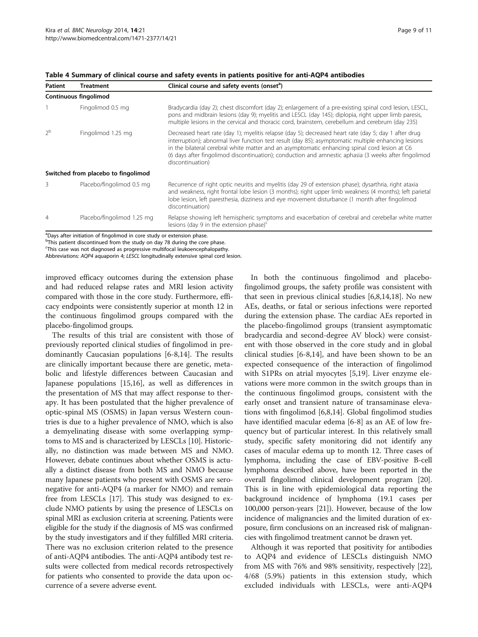| <b>Patient</b> | <b>Treatment</b>                    | Clinical course and safety events (onset <sup>a</sup> )                                                                                                                                                                                                                                                                                                                                                                                    |
|----------------|-------------------------------------|--------------------------------------------------------------------------------------------------------------------------------------------------------------------------------------------------------------------------------------------------------------------------------------------------------------------------------------------------------------------------------------------------------------------------------------------|
|                | Continuous fingolimod               |                                                                                                                                                                                                                                                                                                                                                                                                                                            |
|                | Fingolimod 0.5 mg                   | Bradycardia (day 2); chest discomfort (day 2); enlargement of a pre-existing spinal cord lesion, LESCL,<br>pons and midbrain lesions (day 9); myelitis and LESCL (day 145); diplopia, right upper limb paresis,<br>multiple lesions in the cervical and thoracic cord, brainstem, cerebellum and cerebrum (day 235)                                                                                                                        |
| 2 <sup>b</sup> | Fingolimod 1.25 mg                  | Decreased heart rate (day 1); myelitis relapse (day 5); decreased heart rate (day 5; day 1 after drug<br>interruption); abnormal liver function test result (day 85); asymptomatic multiple enhancing lesions<br>in the bilateral cerebral white matter and an asymptomatic enhancing spinal cord lesion at C6<br>(6 days after fingolimod discontinuation); conduction and amnestic aphasia (3 weeks after fingolimod<br>discontinuation) |
|                | Switched from placebo to fingolimod |                                                                                                                                                                                                                                                                                                                                                                                                                                            |
| ζ              | Placebo/fingolimod 0.5 mg           | Recurrence of right optic neuritis and myelitis (day 29 of extension phase); dysarthria, right ataxia<br>and weakness, right frontal lobe lesion (3 months); right upper limb weakness (4 months); left parietal<br>lobe lesion, left paresthesia, dizziness and eye movement disturbance (1 month after fingolimod<br>discontinuation)                                                                                                    |
| $\overline{4}$ | Placebo/fingolimod 1.25 mg          | Relapse showing left hemispheric symptoms and exacerbation of cerebral and cerebellar white matter<br>lesions (day 9 in the extension phase) $c$                                                                                                                                                                                                                                                                                           |

<span id="page-8-0"></span>Table 4 Summary of clinical course and safety events in patients positive for anti-AQP4 antibodies

<sup>a</sup>Days after initiation of fingolimod in core study or extension phase.

<sup>b</sup>This patient discontinued from the study on day 78 during the core phase.

<sup>c</sup>This case was not diagnosed as progressive multifocal leukoencephalopathy.

Abbreviations: AQP4 aquaporin 4; LESCL longitudinally extensive spinal cord lesion.

improved efficacy outcomes during the extension phase and had reduced relapse rates and MRI lesion activity compared with those in the core study. Furthermore, efficacy endpoints were consistently superior at month 12 in the continuous fingolimod groups compared with the placebo-fingolimod groups.

The results of this trial are consistent with those of previously reported clinical studies of fingolimod in predominantly Caucasian populations [\[6](#page-10-0)-[8,14\]](#page-10-0). The results are clinically important because there are genetic, metabolic and lifestyle differences between Caucasian and Japanese populations [[15,16\]](#page-10-0), as well as differences in the presentation of MS that may affect response to therapy. It has been postulated that the higher prevalence of optic-spinal MS (OSMS) in Japan versus Western countries is due to a higher prevalence of NMO, which is also a demyelinating disease with some overlapping symptoms to MS and is characterized by LESCLs [[10](#page-10-0)]. Historically, no distinction was made between MS and NMO. However, debate continues about whether OSMS is actually a distinct disease from both MS and NMO because many Japanese patients who present with OSMS are seronegative for anti-AQP4 (a marker for NMO) and remain free from LESCLs [\[17\]](#page-10-0). This study was designed to exclude NMO patients by using the presence of LESCLs on spinal MRI as exclusion criteria at screening. Patients were eligible for the study if the diagnosis of MS was confirmed by the study investigators and if they fulfilled MRI criteria. There was no exclusion criterion related to the presence of anti-AQP4 antibodies. The anti-AQP4 antibody test results were collected from medical records retrospectively for patients who consented to provide the data upon occurrence of a severe adverse event.

In both the continuous fingolimod and placebofingolimod groups, the safety profile was consistent with that seen in previous clinical studies [[6](#page-10-0),[8](#page-10-0),[14](#page-10-0),[18](#page-10-0)]. No new AEs, deaths, or fatal or serious infections were reported during the extension phase. The cardiac AEs reported in the placebo-fingolimod groups (transient asymptomatic bradycardia and second-degree AV block) were consistent with those observed in the core study and in global clinical studies [[6-8](#page-10-0),[14](#page-10-0)], and have been shown to be an expected consequence of the interaction of fingolimod with S1PRs on atrial myocytes [[5,19\]](#page-10-0). Liver enzyme elevations were more common in the switch groups than in the continuous fingolimod groups, consistent with the early onset and transient nature of transaminase elevations with fingolimod [[6,8,14\]](#page-10-0). Global fingolimod studies have identified macular edema [\[6](#page-10-0)-[8\]](#page-10-0) as an AE of low frequency but of particular interest. In this relatively small study, specific safety monitoring did not identify any cases of macular edema up to month 12. Three cases of lymphoma, including the case of EBV-positive B-cell lymphoma described above, have been reported in the overall fingolimod clinical development program [[20](#page-10-0)]. This is in line with epidemiological data reporting the background incidence of lymphoma (19.1 cases per 100,000 person-years [\[21](#page-10-0)]). However, because of the low incidence of malignancies and the limited duration of exposure, firm conclusions on an increased risk of malignancies with fingolimod treatment cannot be drawn yet.

Although it was reported that positivity for antibodies to AQP4 and evidence of LESCLs distinguish NMO from MS with 76% and 98% sensitivity, respectively [\[22](#page-10-0)], 4/68 (5.9%) patients in this extension study, which excluded individuals with LESCLs, were anti-AQP4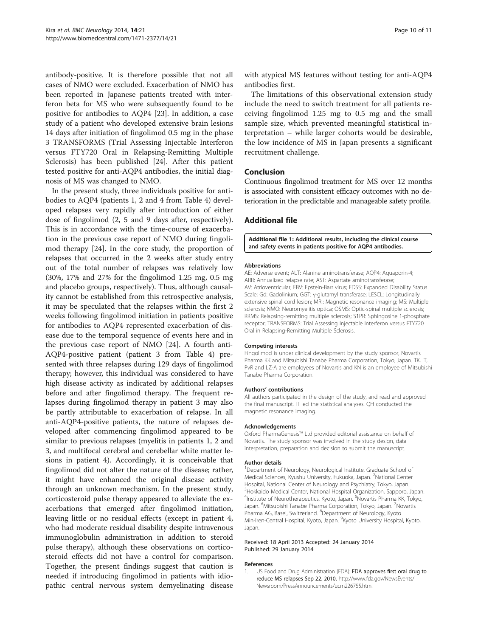<span id="page-9-0"></span>antibody-positive. It is therefore possible that not all cases of NMO were excluded. Exacerbation of NMO has been reported in Japanese patients treated with interferon beta for MS who were subsequently found to be positive for antibodies to AQP4 [\[23](#page-10-0)]. In addition, a case study of a patient who developed extensive brain lesions 14 days after initiation of fingolimod 0.5 mg in the phase 3 TRANSFORMS (Trial Assessing Injectable Interferon versus FTY720 Oral in Relapsing-Remitting Multiple Sclerosis) has been published [[24\]](#page-10-0). After this patient tested positive for anti-AQP4 antibodies, the initial diagnosis of MS was changed to NMO.

In the present study, three individuals positive for antibodies to AQP4 (patients 1, 2 and 4 from Table [4\)](#page-8-0) developed relapses very rapidly after introduction of either dose of fingolimod (2, 5 and 9 days after, respectively). This is in accordance with the time-course of exacerbation in the previous case report of NMO during fingolimod therapy [\[24](#page-10-0)]. In the core study, the proportion of relapses that occurred in the 2 weeks after study entry out of the total number of relapses was relatively low (30%, 17% and 27% for the fingolimod 1.25 mg, 0.5 mg and placebo groups, respectively). Thus, although causality cannot be established from this retrospective analysis, it may be speculated that the relapses within the first 2 weeks following fingolimod initiation in patients positive for antibodies to AQP4 represented exacerbation of disease due to the temporal sequence of events here and in the previous case report of NMO [[24\]](#page-10-0). A fourth anti-AQP4-positive patient (patient 3 from Table [4](#page-8-0)) presented with three relapses during 129 days of fingolimod therapy; however, this individual was considered to have high disease activity as indicated by additional relapses before and after fingolimod therapy. The frequent relapses during fingolimod therapy in patient 3 may also be partly attributable to exacerbation of relapse. In all anti-AQP4-positive patients, the nature of relapses developed after commencing fingolimod appeared to be similar to previous relapses (myelitis in patients 1, 2 and 3, and multifocal cerebral and cerebellar white matter lesions in patient 4). Accordingly, it is conceivable that fingolimod did not alter the nature of the disease; rather, it might have enhanced the original disease activity through an unknown mechanism. In the present study, corticosteroid pulse therapy appeared to alleviate the exacerbations that emerged after fingolimod initiation, leaving little or no residual effects (except in patient 4, who had moderate residual disability despite intravenous immunoglobulin administration in addition to steroid pulse therapy), although these observations on corticosteroid effects did not have a control for comparison. Together, the present findings suggest that caution is needed if introducing fingolimod in patients with idiopathic central nervous system demyelinating disease

with atypical MS features without testing for anti-AQP4 antibodies first.

The limitations of this observational extension study include the need to switch treatment for all patients receiving fingolimod 1.25 mg to 0.5 mg and the small sample size, which prevented meaningful statistical interpretation – while larger cohorts would be desirable, the low incidence of MS in Japan presents a significant recruitment challenge.

#### Conclusion

Continuous fingolimod treatment for MS over 12 months is associated with consistent efficacy outcomes with no deterioration in the predictable and manageable safety profile.

#### Additional file

[Additional file 1:](http://www.biomedcentral.com/content/supplementary/1471-2377-14-21-S1.pdf) Additional results, including the clinical course and safety events in patients positive for AQP4 antibodies.

#### Abbreviations

AE: Adverse event; ALT: Alanine aminotransferase; AQP4: Aquaporin-4; ARR: Annualized relapse rate; AST: Aspartate aminotransferase; AV: Atrioventricular; EBV: Epstein-Barr virus; EDSS: Expanded Disability Status Scale; Gd: Gadolinium; GGT: γ-glutamyl transferase; LESCL: Longitudinally extensive spinal cord lesion; MRI: Magnetic resonance imaging; MS: Multiple sclerosis; NMO: Neuromyelitis optica; OSMS: Optic-spinal multiple sclerosis; RRMS: Relapsing-remitting multiple sclerosis; S1PR: Sphingosine 1-phosphate receptor; TRANSFORMS: Trial Assessing Injectable Interferon versus FTY720 Oral in Relapsing-Remitting Multiple Sclerosis.

#### Competing interests

Fingolimod is under clinical development by the study sponsor, Novartis Pharma KK and Mitsubishi Tanabe Pharma Corporation, Tokyo, Japan. TK, IT, PvR and LZ-A are employees of Novartis and KN is an employee of Mitsubishi Tanabe Pharma Corporation.

#### Authors' contributions

All authors participated in the design of the study, and read and approved the final manuscript. IT led the statistical analyses. QH conducted the magnetic resonance imaging.

#### Acknowledgements

Oxford PharmaGenesis™ Ltd provided editorial assistance on behalf of Novartis. The study sponsor was involved in the study design, data interpretation, preparation and decision to submit the manuscript.

#### Author details

<sup>1</sup>Department of Neurology, Neurological Institute, Graduate School of Medical Sciences, Kyushu University, Fukuoka, Japan. <sup>2</sup>National Center Hospital, National Center of Neurology and Psychiatry, Tokyo, Japan. 3 Hokkaido Medical Center, National Hospital Organization, Sapporo, Japan. <sup>4</sup>Institute of Neurotherapeutics, Kyoto, Japan. <sup>5</sup>Novartis Pharma KK, Tokyo Japan. <sup>6</sup>Mitsubishi Tanabe Pharma Corporation, Tokyo, Japan. <sup>7</sup>Novartis Pharma AG, Basel, Switzerland. <sup>8</sup>Department of Neurology, Kyoto Min-Iren-Central Hospital, Kyoto, Japan. <sup>9</sup>Kyoto University Hospital, Kyoto, Japan.

#### Received: 18 April 2013 Accepted: 24 January 2014 Published: 29 January 2014

#### References

1. US Food and Drug Administration (FDA): FDA approves first oral drug to reduce MS relapses Sep 22. 2010. [http://www.fda.gov/NewsEvents/](http://www.fda.gov/NewsEvents/Newsroom/PressAnnouncements/ucm226755.htm) [Newsroom/PressAnnouncements/ucm226755.htm](http://www.fda.gov/NewsEvents/Newsroom/PressAnnouncements/ucm226755.htm).